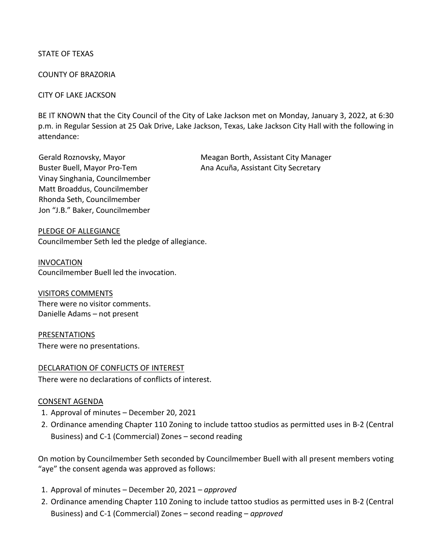## STATE OF TEXAS

#### COUNTY OF BRAZORIA

#### CITY OF LAKE JACKSON

BE IT KNOWN that the City Council of the City of Lake Jackson met on Monday, January 3, 2022, at 6:30 p.m. in Regular Session at 25 Oak Drive, Lake Jackson, Texas, Lake Jackson City Hall with the following in attendance:

Vinay Singhania, Councilmember Matt Broaddus, Councilmember Rhonda Seth, Councilmember Jon "J.B." Baker, Councilmember

Gerald Roznovsky, Mayor Meagan Borth, Assistant City Manager Buster Buell, Mayor Pro-Tem Ana Acuña, Assistant City Secretary

PLEDGE OF ALLEGIANCE Councilmember Seth led the pledge of allegiance.

INVOCATION Councilmember Buell led the invocation.

VISITORS COMMENTS There were no visitor comments. Danielle Adams – not present

PRESENTATIONS There were no presentations.

DECLARATION OF CONFLICTS OF INTEREST There were no declarations of conflicts of interest.

#### CONSENT AGENDA

- 1. Approval of minutes December 20, 2021
- 2. Ordinance amending Chapter 110 Zoning to include tattoo studios as permitted uses in B-2 (Central Business) and C-1 (Commercial) Zones – second reading

On motion by Councilmember Seth seconded by Councilmember Buell with all present members voting "aye" the consent agenda was approved as follows:

- 1. Approval of minutes December 20, 2021 *approved*
- 2. Ordinance amending Chapter 110 Zoning to include tattoo studios as permitted uses in B-2 (Central Business) and C-1 (Commercial) Zones – second reading – *approved*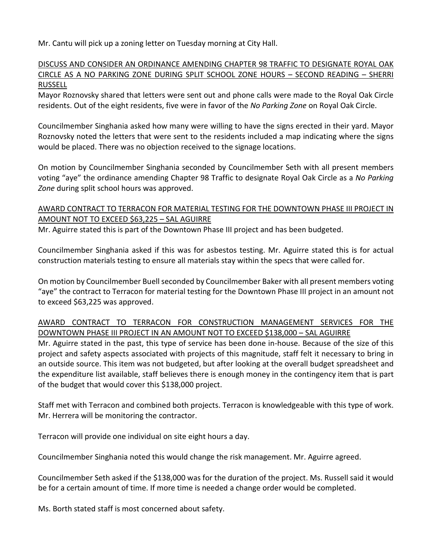Mr. Cantu will pick up a zoning letter on Tuesday morning at City Hall.

# DISCUSS AND CONSIDER AN ORDINANCE AMENDING CHAPTER 98 TRAFFIC TO DESIGNATE ROYAL OAK CIRCLE AS A NO PARKING ZONE DURING SPLIT SCHOOL ZONE HOURS – SECOND READING – SHERRI RUSSELL

Mayor Roznovsky shared that letters were sent out and phone calls were made to the Royal Oak Circle residents. Out of the eight residents, five were in favor of the *No Parking Zone* on Royal Oak Circle.

Councilmember Singhania asked how many were willing to have the signs erected in their yard. Mayor Roznovsky noted the letters that were sent to the residents included a map indicating where the signs would be placed. There was no objection received to the signage locations.

On motion by Councilmember Singhania seconded by Councilmember Seth with all present members voting "aye" the ordinance amending Chapter 98 Traffic to designate Royal Oak Circle as a *No Parking Zone* during split school hours was approved.

# AWARD CONTRACT TO TERRACON FOR MATERIAL TESTING FOR THE DOWNTOWN PHASE III PROJECT IN AMOUNT NOT TO EXCEED \$63,225 – SAL AGUIRRE

Mr. Aguirre stated this is part of the Downtown Phase III project and has been budgeted.

Councilmember Singhania asked if this was for asbestos testing. Mr. Aguirre stated this is for actual construction materials testing to ensure all materials stay within the specs that were called for.

On motion by Councilmember Buell seconded by Councilmember Baker with all present members voting "aye" the contract to Terracon for material testing for the Downtown Phase III project in an amount not to exceed \$63,225 was approved.

# AWARD CONTRACT TO TERRACON FOR CONSTRUCTION MANAGEMENT SERVICES FOR THE DOWNTOWN PHASE III PROJECT IN AN AMOUNT NOT TO EXCEED \$138,000 – SAL AGUIRRE

Mr. Aguirre stated in the past, this type of service has been done in-house. Because of the size of this project and safety aspects associated with projects of this magnitude, staff felt it necessary to bring in an outside source. This item was not budgeted, but after looking at the overall budget spreadsheet and the expenditure list available, staff believes there is enough money in the contingency item that is part of the budget that would cover this \$138,000 project.

Staff met with Terracon and combined both projects. Terracon is knowledgeable with this type of work. Mr. Herrera will be monitoring the contractor.

Terracon will provide one individual on site eight hours a day.

Councilmember Singhania noted this would change the risk management. Mr. Aguirre agreed.

Councilmember Seth asked if the \$138,000 was for the duration of the project. Ms. Russell said it would be for a certain amount of time. If more time is needed a change order would be completed.

Ms. Borth stated staff is most concerned about safety.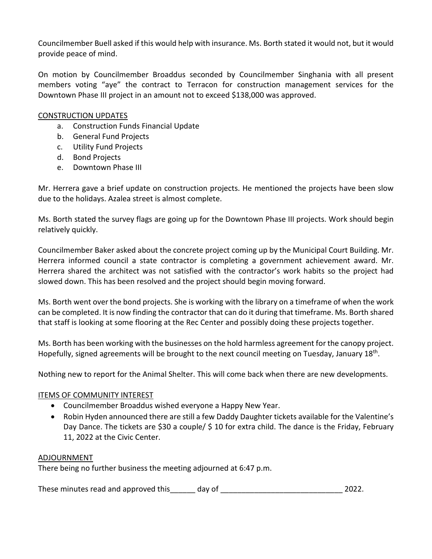Councilmember Buell asked if this would help with insurance. Ms. Borth stated it would not, but it would provide peace of mind.

On motion by Councilmember Broaddus seconded by Councilmember Singhania with all present members voting "aye" the contract to Terracon for construction management services for the Downtown Phase III project in an amount not to exceed \$138,000 was approved.

## CONSTRUCTION UPDATES

- a. Construction Funds Financial Update
- b. General Fund Projects
- c. Utility Fund Projects
- d. Bond Projects
- e. Downtown Phase III

Mr. Herrera gave a brief update on construction projects. He mentioned the projects have been slow due to the holidays. Azalea street is almost complete.

Ms. Borth stated the survey flags are going up for the Downtown Phase III projects. Work should begin relatively quickly.

Councilmember Baker asked about the concrete project coming up by the Municipal Court Building. Mr. Herrera informed council a state contractor is completing a government achievement award. Mr. Herrera shared the architect was not satisfied with the contractor's work habits so the project had slowed down. This has been resolved and the project should begin moving forward.

Ms. Borth went over the bond projects. She is working with the library on a timeframe of when the work can be completed. It is now finding the contractor that can do it during that timeframe. Ms. Borth shared that staff is looking at some flooring at the Rec Center and possibly doing these projects together.

Ms. Borth has been working with the businesses on the hold harmless agreement for the canopy project. Hopefully, signed agreements will be brought to the next council meeting on Tuesday, January 18<sup>th</sup>.

Nothing new to report for the Animal Shelter. This will come back when there are new developments.

### ITEMS OF COMMUNITY INTEREST

- Councilmember Broaddus wished everyone a Happy New Year.
- Robin Hyden announced there are still a few Daddy Daughter tickets available for the Valentine's Day Dance. The tickets are \$30 a couple/ \$ 10 for extra child. The dance is the Friday, February 11, 2022 at the Civic Center.

### ADJOURNMENT

There being no further business the meeting adjourned at 6:47 p.m.

These minutes read and approved this day of the same state of the set of the set of the set of the set of the s